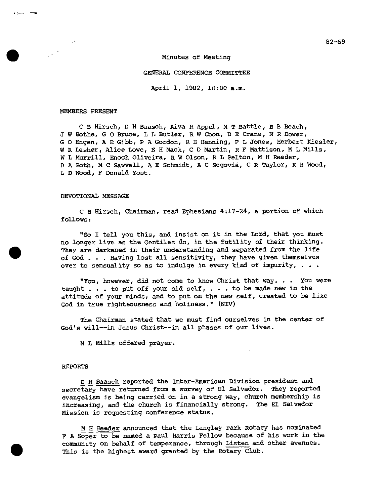82-69

Minutes of Meeting

GENERAL CONFERENCE COMMITTEE

April 1, 1982, 10:00 a.m.

#### MEMBERS PRESENT

 $\sim$ 

 $\sim$ 

C B Hirsch, D H Baasch, Alva R Appel, M T Battle, B B Beach, J W Bothe, G 0 Bruce, L L Butler, R W Coon, D E Crane, N R Dower, G 0 Engen, A E Gibb, P A Gordon, R H Henning, F L Jones, Herbert Kiesler, W R Lesher, Alice Lowe, E H Mack, C D Martin, R F Mattison, M L Mills, W L Murrill, Enoch Oliveira, R W Olson, R L Pelton, M H Reeder, D A Roth, M C Sawvell, A E Schmidt, A C Segovia, C R Taylor, K H Wood, L D Wood, F Donald Yost.

#### DEVOTIONAL MESSAGE

C B Hirsch, Chairman, read Ephesians 4:17-24, a portion of which follows:

"So I tell you this, and insist on it in the Lord, that you must no longer live as the Gentiles do, in the futility of their thinking. They are darkened in their understanding and separated from the life of God . . . Having lost all sensitivity, they have given themselves over to sensuality so as to indulge in every kind of impurity,  $\ldots$ .

"You, however, did not come to know Christ that way. . . You were taught . . . to put off your old self, . . . to be made new in the attitude of your minds; and to put on the new self, created to be like God in true righteousness and holiness." (NIV)

The Chairman stated that we must find ourselves in the center of God's will--in Jesus Christ--in all phases of our lives.

M L Mills offered prayer.

#### REPORTS

•

D H Baasch reported the Inter-American Division president and secretary have returned from a survey of El Salvador. They reported evangelism is being carried on in a strong way, church membership is increasing, and the church is financially strong. The El Salvador Mission is requesting conference status.

M H Reeder announced that the Langley Park Rotary has nominated F A Soper to be named a Paul Harris Fellow because of his work in the community on behalf of temperance, through Listen and other avenues. This is the highest award granted by the Rotary Club.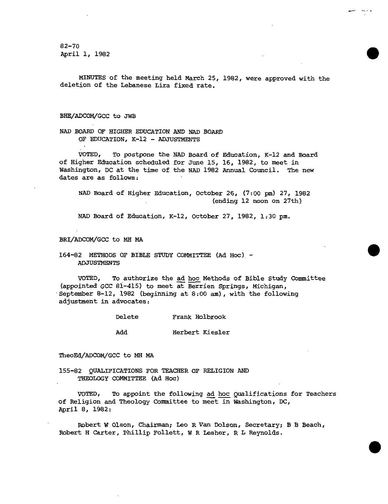82-70 April 1, 1982

MINUTES of the meeting held March 25, 1982, were approved with the deletion of the Lebanese Lira fixed rate.

•

•

•

#### BHE/ADCOM/GCC to JWB

NAD BOARD OF HIGHER EDUCATION AND NAD BOARD OF EDUCATION, K-12 - ADJUSTMENTS

VOTED, To postpone the NAD Board of Education, K-12 and Board of Higher Education scheduled for June 15, 16, 1982, to meet in Washington, DC at the time of the NAD 1982 Annual Council. The new dates are as follows:

NAD Board of Higher Education, October 26, (7:00 pm) 27, 1982 (ending 12 noon on 27th)

NAD Board of Education, K-12, October 27, 1982, 1:30 pm.

BRI/ADCOM/GCC to MH MA

# 164-82 METHODS OF BIBLE STUDY COMMITTEE (Ad Hoc) - ADJUSTMENTS

VOTED, To authorize the ad hoc Methods of Bible Study Committee (appointed GCC 81-415) to meet at Berrien Springs, Michigan, September 8-12, 1982 (beginning at 8:00 am), with the following adjustment in advocates:

| Delete | Frank Holbrook  |
|--------|-----------------|
| Add    | Herbert Kiesler |

TheoEd/ADCOM/GCC to MH MA

155-82 QUALIFICATIONS FOR TEACHER OF RELIGION AND THEOLOGY COMMITTEE (Ad Hoc)

VOTED, To appoint the following ad hoc Qualifications for Teachers of Religion and Theology Committee to meet in Washington, DC, April 8, 1982:

Robert W Olson, Chairman; Leo R Van Dolson, Secretary; B B Beach, Robert H Carter, Phillip Follett, W R Lesher, R L Reynolds.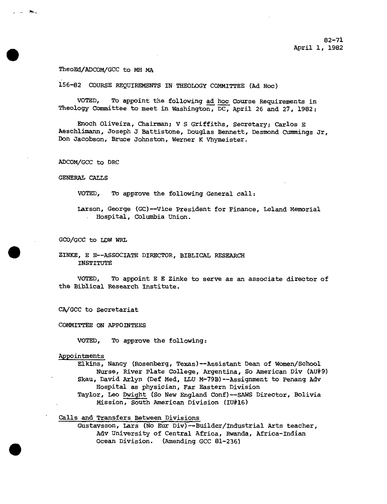# TheoEd/ADCOM/GCC to MH MA

156-82 COURSE REQUIREMENTS IN THEOLOGY COMMITTEE (Ad Hoc)

VOTED, To appoint the following ad hoc Course Requirements in Theology Committee to meet in Washington, DC, April 26 and 27, 1982:

Enoch Oliveira, Chairman; V S Griffiths, Secretary; Carlos E Aeschlimann, Joseph J Battistone, Douglas Bennett, Desmond Cummings Jr, Don Jacobson, Bruce Johnston, Werner K Vhymeister.

ADCOM/GCC to DRC

GENERAL CALLS

VOTED, To approve the following General call:

Larson, George (GC) - -Vice President for Finance, Leland Memorial Hospital, Columbia Union.

GCO/GCC to LDW WRL

ZINKE, E E--ASSOCIATE DIRECTOR, BIBLICAL RESEARCH INSTITUTE

VOTED, To appoint E E Zinke to serve as an associate director of the Biblical Research Institute.

CA/GCC to Secretariat

COMMITTEE ON APPOINTEES

VOTED, To approve the following:

Appointments

Elkins, Nancy (Rosenberg, Texas)--Assistant Dean of Women/School Nurse, River Plate College, Argentina, So American Div (AU#9) Skau, David Arlyn (Def Med, LLU M-79B)--Assignment to Penang Adv Hospital as physician, Far Eastern Division Taylor, Leo Dwight (So New England Conf)--SAWS Director, Bolivia Mission, South American Division (IU#16)

Calls and Transfers Between Divisions

Gustaysson, Lars (No Eur Div) - -Builder/Industrial Arts teacher, Adv University of Central Africa, Rwanda, Africa-Indian Ocean Division. (Amending GCC 81-236)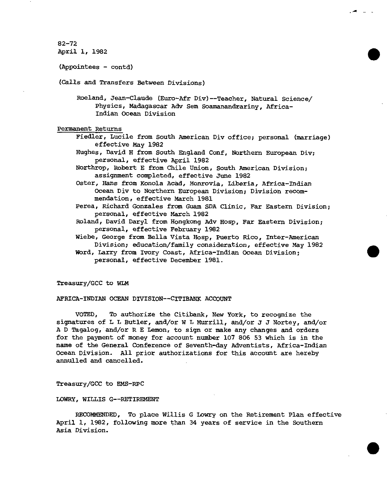```
82-72 
82-72<br>April 1, 1982<br>(Appointees - contd)
```
(Appointees - contd)

(Calls and Transfers Between Divisions)

Roeland, Jean-Claude (Euro-Afr Div)--Teacher, Natural Science/ Physics, Madagascar Adv Sem Soamanandrariny, Africa-Indian Ocean Division

Permanent Returns

Fiedler, Lucile from South American Div office; personal (marriage) effective May 1982

Hughes, David H from South England Conf, Northern European Div; personal, effective April 1982

Northrop, Robert E from Chile Union, South American Division; assignment completed, effective June 1982

Oster, Hans from Konola Acad, Monrovia, Liberia, Africa-Indian Ocean Div to Northern European Division; Division recommendation, effective March 1981

- Perea, Richard Gonzales from Guam SDA Clinic, Far Eastern Division; personal, effective March 1982
- Roland, David Daryl from Hongkong Adv Hosp, Far Eastern Division; personal, effective February 1982

Wiebe, George from Bella Vista Hosp, Puerto Rico, Inter-American Division; education/family consideration, effective May 1982 Word, Larry from Ivory Coast, Africa-Indian Ocean Division;

personal, effective December 1981.

Treasury/GCC to WLM

AFRICA-INDIAN OCEAN DIVISION--CITIBANK ACCOUNT

VOTED, To authorize the Citibank, New York, to recognize the signatures of L L Butler, and/or W L Murrill, and/or J J Nortey, and/or A D Tagalog, and/or R E Lemon, to sign or make any changes and orders for the payment of money for account number 107 806 53 which is in the name of the General Conference of Seventh-day Adventists, Africa-Indian Ocean Division. All prior authorizations for this account are hereby annulled and cancelled.

Treasury/GCC to EMS-RPC

LOWRY, WILLIS G--RETIREMENT

RECOMMENDED, To place Willis G Lowry on the Retirement Plan effective April 1, 1982, following more than 34 years of service in the Southern Asia Division.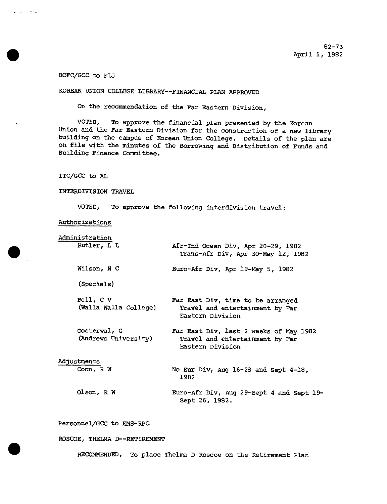# BOFC/GCC to FLJ

 $\omega$  and  $\omega$ 

# KOREAN UNION COLLEGE LIBRARY--FINANCIAL FLAN APPROVED

On the recommendation of the Far Eastern Division,

VOTED, To approve the financial plan presented by the Korean Union and the Far Eastern Division for the construction of a new library building on the campus of Korean Union College. Details of the plan are on file with the minutes of the Borrowing and Distribution of Funds and Building Finance Committee.

# ITC/GCC to AL

#### INTERDIVISION TRAVEL

VOTED, To approve the following interdivision travel:

# Authorizations

| Administration                       |                                                                                               |
|--------------------------------------|-----------------------------------------------------------------------------------------------|
| Butler, L L                          | Afr-Ind Ocean Div, Apr 20-29, 1982<br>Trans-Afr Div, Apr 30-May 12, 1982                      |
| Wilson, N C                          | Euro-Afr Div, Apr 19-May 5, 1982                                                              |
| (Specials)                           |                                                                                               |
| Bell, C V<br>(Walla Walla College)   | Far East Div, time to be arranged<br>Travel and entertainment by Far<br>Eastern Division      |
| Oosterwal, G<br>(Andrews University) | Far East Div, last 2 weeks of May 1982<br>Travel and entertainment by Far<br>Eastern Division |
| Adjustments                          |                                                                                               |
| Coon, R W                            | No Eur Div, Aug 16-28 and Sept 4-18,<br>1982                                                  |
| Olson, $R$ W                         | Euro-Afr Div, Aug 29-Sept 4 and Sept 19-<br>Sept 26, 1982.                                    |

# Personnel/GCC to EMS-RPC

ROSCOE, THELMA D--RETIREMENT<br>• RECOMMENDED, To place Thelma D Roscoe on the Retirement Plan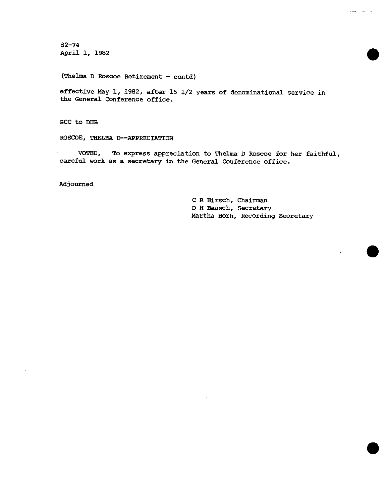82-74 82-74<br>April 1, 1982

(Thelma D Roscoe Retirement - contd)

effective May 1, 1982, after 15 1/2 years of denominational service in the General Conference office.

GCC to DHB

ROSCOE, THELMA D--APPRECIATION

VOTED, To express appreciation to Thelma D Roscoe for her faithful, careful work as a secretary in the General Conference office.

Adjourned

C B Hirsch, Chairman D H Baasch, Secretary Martha Horn, Recording Secretary

•

 $\omega = \frac{1}{2} \left( \omega - \frac{1}{2} \right) \left( \omega - \frac{1}{2} \right)$ 

•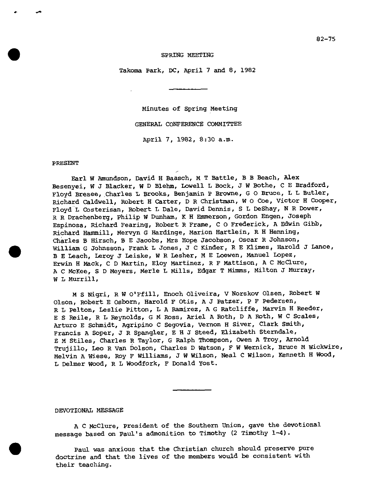#### SPRING MEETING

Takoma Park, DC, April 7 and 8, 1982

Minutes of Spring Meeting GENERAL CONFERENCE COMMITTEE April 7, 1982, 8:30 a.m.

#### PRESENT

Earl W Amundson, David H Baasch, M T Battle, B B Beach, Alex Besenyei, W J Blacker, W D Blehm, Lowell L Bock, J W Bothe, C E Bradford, Floyd Bresee, Charles L Brooks, Benjamin P Browne, G O Bruce, L L Butler, Richard Caldwell, Robert H Carter, D R Christman, W 0 Coe, Victor H Cooper, Floyd L Costerisan, Robert L Dale, David Dennis, S L DeShay, N R Dower, • R Drachenberg, Philip W Dunham, K H Emmerson, Gordon Engen, Joseph Espinosa, Richard Fearing, Robert R Frame, C 0 Frederick, A Edwin Gibb, Richard Hammill, Mervyn G Hardinge, Marion Hartlein, R H Henning, Charles B Hirsch, B E Jacobs, Mrs Hope Jacobson, Oscar R Johnson, William G Johnsson, Frank L Jones, J C Kinder, R E Klimes, Harold J Lance, B E Leach, Leroy J Leiske, W R Lesher, M E Loewen, Manuel Lopez, Erwin H Mack, C D Martin, Eloy Martinez, R F Mattison, A C McClure, A C McKee, S D Meyers, Merle L Mills, Edgar T Mimms, Milton J Murray, W L Murrill,

M S Nigri, R W O'Ffill, Enoch Oliveira, V Norskov Olsen, Robert W Olson, Robert E Osborn, Harold F Otis, A J Patzer, P F Pedersen, R L Felton, Leslie Pitton, L A Ramirez, A G Ratcliffe, Marvin H Reeder, E S Reile, R L Reynolds, G M Ross, Ariel A Roth, D A Roth, W C Scales, Arturo E Schmidt, Agripino C Segovia, Vernon H Siver, Clark Smith, Francis A Soper, J R Spangler, E H 3 Steed, Elizabeth Sterndale, E M Stiles, Charles R Taylor, G Ralph Thompson, Owen A Troy, Arnold Trujillo, Leo R Van Dolson, Charles D Watson, F W Wernick, Bruce M Wickwire, Melvin A Wiese, Roy F Williams, J W Wilson, Neal C Wilson, Kenneth H Wood, L Delmer Wood, R L Woodfork, F Donald Yost.

#### DEVOTIONAL MESSAGE

A C McClure, President of the Southern Union, gave the devotional message based on Paul's admonition to Timothy (2 Timothy 1-4).

Paul was anxious that the Christian church should preserve pure doctrine and that the lives of the members would be consistent with their teaching.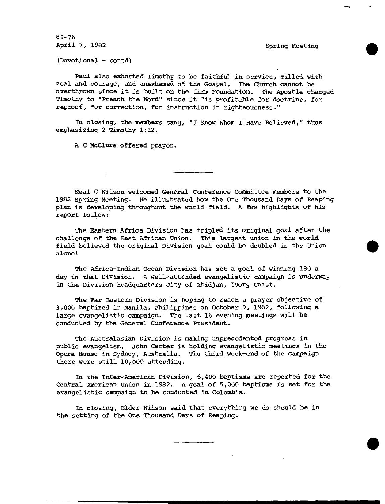82-76 April 7, 1982 Spring Meeting

•

•

•

(Devotional - contd)

Paul also exhorted Timothy to be faithful in service, filled with zeal and courage, and unashamed of the Gospel. The Church cannot be overthrown since it is built on the firm Foundation. The Apostle charged Timothy to "Preach the Word" since it "is profitable for doctrine, for reproof, for correction, for instruction in righteousness."

In closing, the members sang, "I Know whom I Have Believed," thus emphasizing 2 Timothy 1:12.

A C McClure offered prayer.

Neal C Wilson welcomed General Conference Committee members to the 1982 Spring Meeting. He illustrated how the One Thousand Days of Reaping plan is developing throughout the world field. A few highlights of his report follow:

The Eastern Africa Division has tripled its original goal after the challenge of the East African Union. This largest union in the world field believed the original Division goal could be doubled in the Union alone!

The Africa-Indian Ocean Division has set a goal of winning 180 a day in that Division. A well-attended evangelistic campaign is underway in the Division headquarters city of Abidjan, Ivory Coast.

The Far Eastern Division is hoping to reach a prayer objective of 3,000 baptized in Manila, Philippines on October 9, 1982, following a large evangelistic campaign. The last 16 evening meetings will be conducted by the General Conference President.

The Australasian Division is making unprecedented progress in public evangelism. John Carter is holding evangelistic meetings in the Opera House in Sydney, Australia. The third week-end of the campaign there were still 10,000 attending.

In the Inter-American Division, 6,400 baptisms are reported for the Central American Union in 1982. A goal of 5,000 baptisms is set for the evangelistic campaign to be conducted in Colombia.

In closing, Elder Wilson said that everything we do should be in the setting of the One Thousand Days of Reaping.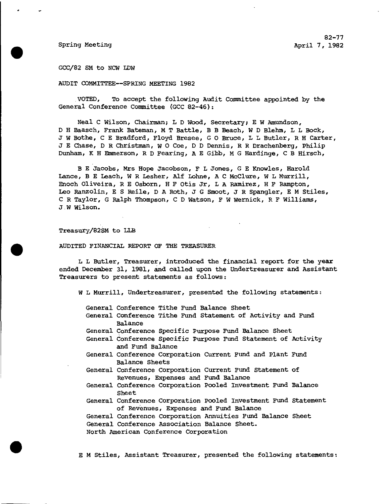82-77 82-77<br>Bpring Meeting April 7, 1982<br>GCC/82 SM to NCW LDW

GCC/82 SM to NCW LDW

AUDIT COMMITTEE--SPRING MEETING 1982

VOTED, To accept the following Audit Committee appointed by the General Conference Committee (GCC 82-46):

Neal C Wilson, Chairman; L D Wood, Secretary; E W Amundson, D H Baasch, Frank Bateman, M T Battle, B B Beach, W D Blehm, L L Bock, J W Bothe, C E Bradford, Floyd Bresee, G 0 Bruce, L L Butler, R H Carter, J E Chase, D R Christman, W 0 Coe, D D Dennis, R R Drachenberg, Philip Dunham, K H Emmerson, R D Fearing, A E Gibb, M G Hardinge, C B Hirsch,

B E Jacobs, Mrs Hope Jacobson, F L Jones, G E Knowles, Harold Lance, B E Leach, W R Lesher, Alf Lohne, A C McClure, W L Murrill, Enoch Oliveira, R E Osborn, H F Otis Jr, L A Ramirez, H F Rampton, Leo Ranzolin, E S Reile, D A Roth, J G Smoot, J R Spangler, E M Stiles, C R Taylor, G Ralph Thompson, C D Watson, F W Wernick, R F Williams, J W Wilson.

### Treasury/82SM to LLB

Treasury/82SM to LLB<br>AUDITED FINANCIAL REPORT OF THE TREASURER<br>L L Butler, Treasurer, introduced the L L Butler, Treasurer, introduced the financial report for the year ended December 31, 1981, and called upon the Undertreasurer and Assistant Treasurers to present statements as follows:

W L Murrill, Undertreasurer, presented the following statements:

- General Conference Tithe Fund Balance Sheet
- General Conference Tithe Fund Statement of Activity and Fund Balance
- General Conference Specific Purpose Fund Balance Sheet
- General Conference Specific Purpose Fund Statement of Activity and Fund Balance
- General Conference Corporation Current Fund and Plant Fund Balance Sheets
- General Conference Corporation Current Fund Statement of Revenues, Expenses and Fund Balance
- General Conference Corporation Pooled Investment Fund Balance Sheet
- General Conference Corporation Pooled Investment Fund Statement of Revenues, Expenses and Fund Balance

General Conference Corporation Annuities Fund Balance Sheet General Conference Association Balance Sheet. General Conference Corporation Annuities Fund Salance Sheet<br>General Conference Association Balance Sheet.<br>North American Conference Corporation<br>E M Stiles, Assistant Treasurer, presented the following statements:

North American Conference Corporation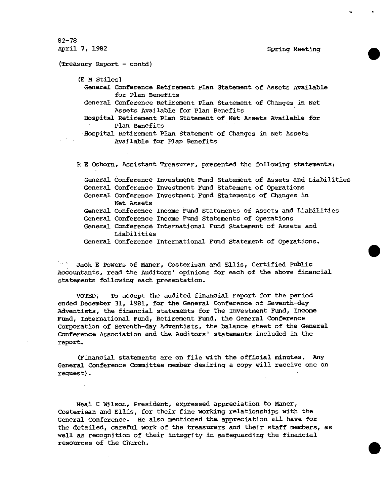82-78 82-78<br>April 7, 1982<br>(Treasury Report - contd) (Treasury Report - contd) (E M Stiles) General Conference Retirement Plan Statement of Assets Available for Plan Benefits General Conference Retirement Plan Statement of Changes in Net Assets Available for Plan Benefits Hospital Retirement Plan Statement of Net Assets Available for Plan Benefits Hospital Retirement Plan Statement of Changes in Net Assets Available for Plan Benefits R E Osborn, Assistant Treasurer, presented the following statements:

General Conference Investment Fund StateMent of Assets and Liabilities General Conference Investment Fund Statement of Operations General Conference Investment Fund Statements of Changes in General Conference Income Fund Statements of Assets and Liabilities General Conference Income Fund Statements of Operations General Conference International Fund Statement of Assets and General Conference International Fund Statement of Operations. Net Assets Liabilities Conference Income Fund Statements or Operations<br>Conference International Fund Statement of Assets and<br>Conference International Fund Statement of Operations.<br>ers of Maner. Costerisan and Ellis. Certified Public

Jack E Powers of Maner, Costerisan and Ellis, Certified Public Accountants, read the Auditors' opinions for each of the above financial statements following each presentation.

VOTED; To accept the audited financial report for the period ended December 31, 1981, for the General Conference of Seventh-day Adventists, the financial statements for the Investment Fund, Income Fund, International Fund, Retirement Fund, the General Conference Corporation of Seventh-day Adventists, the balance sheet of the General Conference Association and the Auditors' statements included in the report.

(Financial statements are on file with the official minutes. Any General Conference Committee member desiring a copy will receive one on request).

Neal C Wilson, President, expressed appreciation to Maner, Costerisan and Ellis, for their fine working relationships with the General Conference. He also mentioned the appreciation all have for<br>the detailed, careful work of the treasurers and their staff members, as<br>well as recognition of their integrity in safeguarding the financial<br>resources of the detailed, careful work of the treasurers and their staff members, as well as recognition of their integrity in safeguarding the financial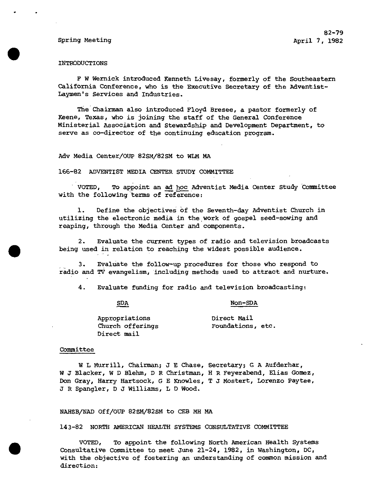#### INTRODUCTIONS

F W Wernick introduced Kenneth Livesay, formerly of the Southeastern California Conference, who is the Executive Secretary of the Adventist-Laymen's Services and Industries.

The Chairman also introduced Floyd Bresee, a pastor formerly of Keene, Texas, who is joining the staff of the General Conference Ministerial Association and Stewardship and Development Department, to serve as co-director of the continuing education program.

Adv Media Center/OUP 82SM/82SM to WLM MA

166-82 ADVENTIST MEDIA CENTER STUDY COMMITTEE

VOTED, To appoint an ad hoc Adventist Media Center Study Committee with the following terms of reference:

1. Define the objectives Of the Seventh-day Adventist Church in utilizing the electronic media in the work of gospel seed-sowing and reaping, through the Media Center and components.

2. Evaluate the current types of radio and television broadcasts • being used in relation to reaching the widest possible audience.

3. Evaltiate the follow-up procedures for those who respond to radio and TV evangelism, including methods used to attract and nurture.

4. Evaluate funding for radio and television broadcasting:

SDA Non -SDA

|             | Appropriations   | Direct Mail       |  |
|-------------|------------------|-------------------|--|
|             | Church offerings | Foundations, etc. |  |
| Direct mail |                  |                   |  |

#### Committee

W L Murrill, Chairman; J E Chase, Secretary; G A Aufderhar, W J Blacker, W D Blehm, D R Christman, H R Feyerabend, Elias Gomez, Don Gray, Harry Hartsock, G E Knowles, T J Mostert, Lorenzo Paytee, J R Spangler, D J Williams, L D Wood.

#### NAHSB/NAD Off/OUP 82SM/82SM to CEB MH MA

143-82 NORTH AMERICAN HEALTH SYSTEMS CONSULTATIVE COMMITTEE

143-82 NORTH AMERICAN HEALTH SYSTEMS CONSULTATIVE COMMITTEE<br>
VOTED, To appoint the following North American Health Systems<br>
Consultative Committee to meet June 21-24, 1982, in Washington, DC,<br>
with the objective of fosteri Consultative Committee to meet June 21-24, 1982, in Washington, DC, direction: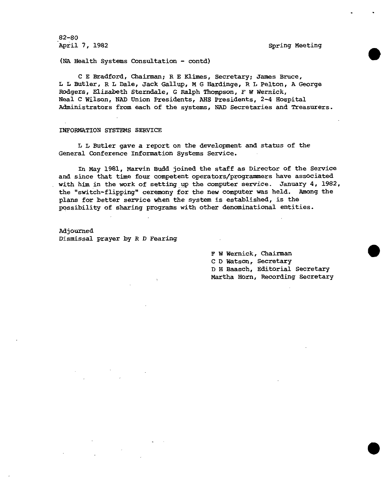82-80 April 7, 1982 Spring Meeting

(NA Health Systems Consultation - contd)

C E Bradford, Chairman; R E Klimes, Secretary; James Bruce, L L Butler, R L Dale, Jack Gallup, M G Hardinge, R L Felton, A George Rodgers, Elizabeth Sterndale, G Ralph Thompson, F W Wernick, Neal C Wilson, NAD Union Presidents, AHS Presidents, 2-4 Hospital Administrators from each of the systems, NAD Secretaries and Treasurers.

#### INFORMATION SYSTEMS SERVICE

L L Butler gave a report on the development and status of the General Conference Information Systems Service.

In May 1981, Marvin Budd joined the staff as Director of the Service and since that time four competent operators/programmers have associated with him in the work of setting up the computer service. January 4, 1982, the "switch-flipping" ceremony for the new computer was held. Among the plans for better service when the system is established, is the possibility of sharing programs with other denominational entities.

Adjourned Dismissal prayer by R D Fearing

> F W Wernick, Chairman C D Watson, Secretary D H Baasch, Editorial Secretary Martha Horn, Recording Secretary

> > •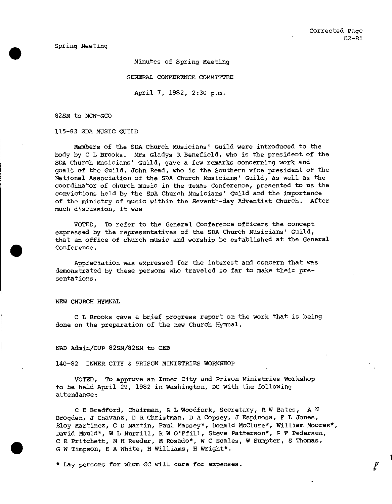Spring Meeting

Minutes of Spring Meeting

GENERAL CONFERENCE COMMITTEE

April 7, 1982, 2:30 p.m.

82SM to NCW-GCO

115-82 SDA MUSIC GUILD

Members of the SDA Church Musicians' Guild were introduced to the body by C L Brooks. Mrs Gladys R Benefield, who is the president of the SDA Church Musicians' Guild, gave a few remarks concerning work and goals of the Guild. John Read, who is the Southern vice president of the National Association of the SDA Church Musicians' Guild, as well as the coordinator of church music in the Texas Conference, presented to us the convictions held by the SDA Church Musicians' Guild and the importance of the ministry of music within the Seventh-day Adventist Church. After much discussion, it was

VOTED, To refer to the General Conference officers the concept expressed by the representatives of the SDA Church Musicians' Guild, that an office of church music and worship be established at the General Conference.

Appreciation was expressed for the interest and concern that was demonstrated by these persons who traveled so far to make their presentations.

NEW CHURCH HYMNAL

C L Brooks gave a brief progress report on the work that is being done on the preparation of the new Church Hymnal.

NAD Admin/OUP 82SM/82SM to CEB

140-82 INNER CITY & PRISON MINISTRIES WORKSHOP

VOTED, To approve an Inner City and Prison Ministries Workshop to be held April 29, 1982 in Washington, DC with the following attendance:

C E Bradford, Chairman, R L Woodfork, Secretary, R W Bates, A N Brogden, J Chavanz, D R Christman, D A Copsey, J Espinosa, F L Jones, Eloy Martinez, C D Martin, Paul Massey\*, Donald McClure\*, William Moores\*, David Mould\*, W L Murrill, R W O'Ffill, Steve Patterson\*, P F Pedersen, C R Pritchett, M H Reeder, M Rosado\*, W C Scales, W Sumpter, S Thomas, G W Timpson, E A White, H Williams, H Wright\*.

\* Lay persons for whom GC will care for expenses.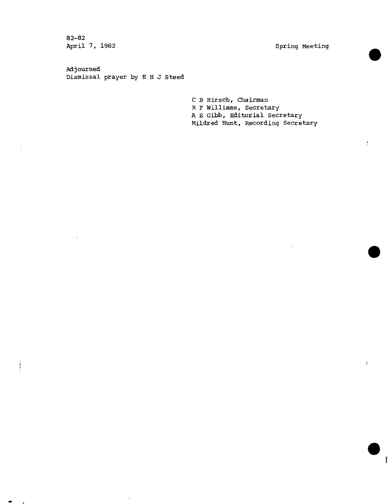82-82<br>April 7, 1982

in with

Spring Meeting

•

 $\mathbf{r}_i$ 

 $\frac{1}{2}$ 

Adjourned Dismissal prayer by E H J Steed

> C B Hirsch, Chairman R F Williams, Secretary A E Gibb, Editorial Secretary Mildred Hunt, Recording Secretary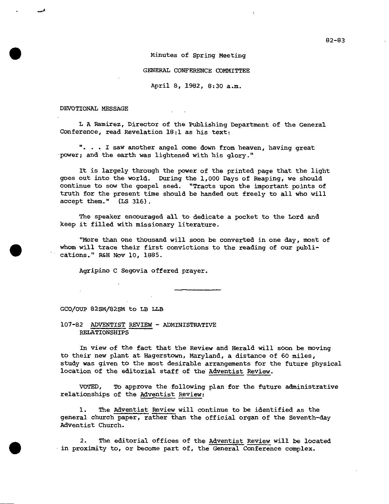# Minutes of Spring Meeting

#### GENERAL CONFERENCE COMMITTEE

April 8, 1982, 8:30 a.m.

DEVOTIONAL MESSAGE

•

•

L A Ramirez, Director of the Publishing Department of the General Conference, read Revelation 18:1 as his text:

". . . I saw another angel come down from heaven, having great power; and the earth was lightened with his glory."

It is largely through the power of the printed page that the light goes out into the world. During the 1,000 Days of Reaping, we should continue to sow the gospel seed. "Tracts upon the important points of truth for the present time should be handed out freely to all who will accept them." (LS 316).

The speaker encouraged all to dedicate a pocket to the Lord and keep it filled with missionary literature.

"More than one thousand will soon be converted in one day, most of whom will trace their first convictions to the reading of our publications." R&H Nov 10, 1885.

Agripino C Segovia offered prayer.

GCO/OUP 82SM/82SM to LB LLB

107-82 ADVENTIST REVIEW - ADMINISTRATIVE RELATIONSHIPS

In view of the fact that the Review and Herald will soon be moving to their new plant at Hagerstown, Maryland, a distance of 60 miles, study was given to the most desirable arrangements for the future physical location of the editorial staff of the Adventist Review.

VOTED, To approve the following plan for the future administrative relationships of the Adventist Review:

1. The Adventist Review will continue to be identified as the general church paper, rather than the official organ of the Seventh-day Adventist Church.

2. The editorial offices of the Adventist Review will be located • in proximity to, or become part of, the General Conference complex.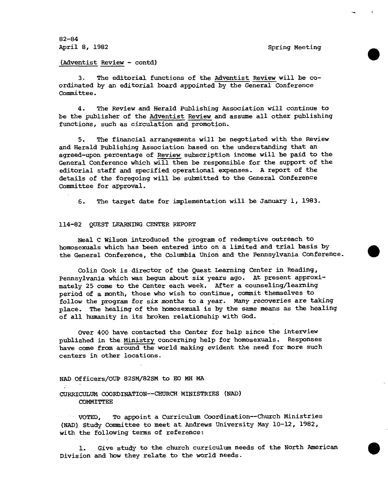82-84 April 8, 1982 Spring Meeting

•

•

•

(Adventist Review - contd)

3. The editorial functions of the Adventist Review will be coordinated by an editorial board appointed by the *General* Conference Committee.

4. The Review and Herald Publishing Association will continue to be the publisher of the Adventist Review and assume all other publishing functions, such as circulation and promotion.

5. The financial arrangements will be negotiated with the Review and Herald Publishing Association based on the understanding that an agreed-upon percentage of Review subscription income will be paid to the General Conference which will then be responsible for the support of the editorial staff and specified operational expenses. A report of the details of the foregoing will be submitted to the General Conference Committee for approval.

6. The target date for implementation will be January 1, 1983.

#### 114-82 QUEST LEARNING CENTER REPORT

Neal C Wilson introduced the program of redemptive outreach to homosexuals which has been entered into on a limited and trial basis by the General Conference, the Columbia Union and the Pennsylvania Conference.

Colin Cook is director of the Quest Learning Center in Reading, Pennsylvania which was begun about six years ago. At present approximately 25 come to the Center each week. After a counseling/learning period of a month, those who wish to continue, commit themselves to follow the program for six months to a year. Many recoveries are taking place. The healing of the homosexual is by the same means as the healing of all humanity in its broken relationship with God.

Over 400 have contacted the Center for help since the interview published in the Ministry concerning help for homosexuals. Responses have come from around the world making evident the need for more such centers in other locations.

# NAD Officers/OUP 82SM/82SM to E0 MH MA CURRICULUM COORDINATION--CHURCH MINISTRIES (NAD) COMMITTEE

VOTED, To appoint a Curriculum Coordination--Church Ministries WADI Study Committee to meet at Andrews University May 10-12, 1982, with the following terms of reference:

1. Give study to the church curriculum needs of the North American Division and how they relate to the world needs.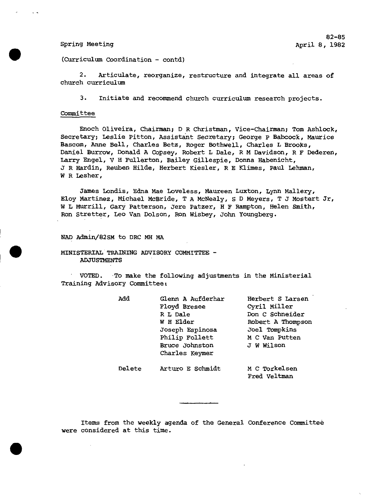•

•

(Curriculum Coordination - contd)

2. Articulate, reorganize, restructure and integrate all areas of church curriculum

3. Initiate and recommend church curriculum research projects.

# Committee

Enoch Oliveira, Chairman; DR Christman, Vice-Chairman; Tom Ashlock, Secretary; Leslie Pitton, Assistant Secretary; George P Babcock, Maurice Bascom, Anne Bell, Charles Betz, Roger Bothwell, Charles L Brooks, Daniel Burrow, Donald A Copsey, Robert L Dale, R M Davidson, R F Dederen, Larry Engel, V H Fullerton, Bailey Gillespie, Donna Habenicht, J R Hardin, Reuben Hilde, Herbert Kiesler, R E Klimes, Paul Lehman, W R Lesher,

James Londis, Edna Mae Loveless, Maureen Luxton, Lynn Mallery, Eloy Martinez, Michael McBride, T A McNealy, S D Meyers, T J Mostert Jr, W L Murrill, Gary Patterson, Jere Patzer, H F Hampton, Helen Smith, Ron Stretter, Leo Van Dolson, Ron Wisbey, John Youngberg.

NAD Admin/82SM to DRC MH MA

MINISTERIAL TRAINING ADVISORY COMMITTEE - ADJUSTMENTS

VOTED. To make the following adjustments in the Ministerial Training Advisory Committee:

|                  | Herbert S Larsen              |
|------------------|-------------------------------|
| Floyd Bresee     | Cyril Miller                  |
| R L Dale         | Don C Schneider               |
| W H Elder        | Robert A Thompson             |
| Joseph Espinosa  | Joel Tompkins                 |
| Philip Follett   | M C Van Putten                |
| Bruce Johnston   | J W Wilson                    |
| Charles Keymer   |                               |
| Arturo E Schmidt | M C Torkelsen<br>Fred Veltman |
|                  | Glenn A Aufderhar             |

Items from the weekly agenda of the General Conference Committee were considered at this time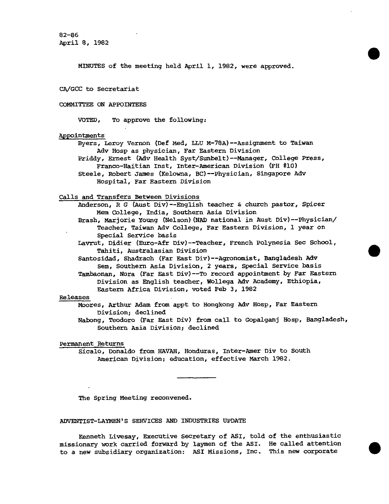82-86 April 8, 1982

MINUTES of the meeting held April 1, 1982, were approved.

•

•

•

CA/GCC to Secretariat

# COMMITTEE ON APPOINTEES

VOTED, To approve the following:

# Appointments

Byers, Leroy Vernon (Def Med, LLU M-78A)--Assignment to Taiwan Adv Hosp as physician, Far Eastern Division Priddy, Ernest (Adv Health Syst/Sunbelt)--Manager, College Press, Franco-Haitian Inst, Inter-American Division (FH #10) Steele, Robert James (Kelowna, BC)--Physician, Singapore Adv Hospital, Far Eastern Division

### Calls and Transfers Between Divisions

Anderson, R G (Aust Div)--English teacher & church pastor, Spicer Mem College, India, Southern Asia Division

Brash, Marjorie Young (Nelson)(NAD national in Aust Div)--Physician/ Teacher, Taiwan Adv College, Far Eastern Division, 1 year on Special Service basis

Lavrut, Didier (Euro-Afr Div)--Teacher, French Polynesia Sec School, Tahiti, Australasian Division

Santosidad, Shadrach (Far East Div)--Agronomist, Bangladesh Adv Sem, Southern Asia Division, 2 years, Special Service basis

Tambaonan, Nora (Far East Div)--To record appointment by Far Eastern Division as English teacher, Wollega Adv Academy, Ethiopia, Eastern Africa Division, voted Feb 3, 1982

# Releases

Moores, Arthur Adam from appt to Hongkong Adv Hosp, Far Eastern Division; declined

Nabong, Teodoro (Far East Div) from call to Gopalganj Hasp, Bangladesh, Southern Asia Division; declined

# Permanent Returns

Sicalo, Donaldo from HAVAH, Honduras, Inter-Amer Div to South American Division; education, effective March 1982.

The Spring Meeting reconvened.

# ADVENTIST-LAYMEN'S SERVICES AND INDUSTRIES UPDATE

Kenneth Livesay, Executive Secretary of ASI, told of the enthusiastic missionary work carried forward by laymen of the ASI. He called attention to a new subsidiary organization: ASI Missions, Inc. This new corporate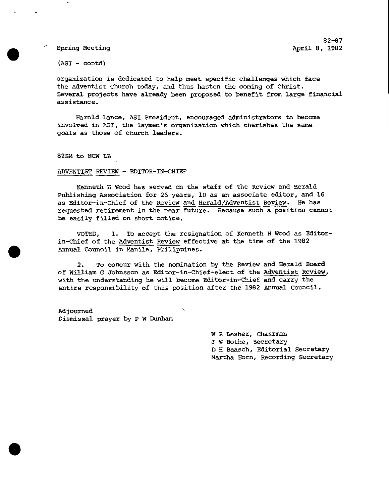82-87 Spring Meeting  $\overline{a}$  and  $\overline{b}$  and  $\overline{b}$  and  $\overline{b}$  and  $\overline{b}$  and  $\overline{b}$  and  $\overline{b}$  and  $\overline{b}$  and  $\overline{b}$  and  $\overline{b}$  and  $\overline{b}$  and  $\overline{b}$  and  $\overline{b}$  and  $\overline{b}$  and  $\overline{b}$  and  $\overline{b}$  and

 $(ASI - contd)$ 

organization is dedicated to help meet specific challenges which face the Adventist Church today, and thus hasten the coming of Christ. Several projects have already been proposed to benefit from large financial assistance.

Harold Lance, ASI President, encouraged administrators to become involved in ASI, the laymen's organization which cherishes the same goals as those of church leaders.

82SM to NCW LB

•

•

#### ADVENTIST REVIEW - EDITOR-IN-CHIEF

Kenneth H Wood has served on the staff of the Review and Herald Publishing Association for 26 years, 10 as an associate editor, and 16 as Editor-in-Chief of the Review and Herald/Adventist Review. He has requested retirement in the near future. Because such a position cannot be easily filled on short notice,

VOTED, 1. To accept the resignation of Kenneth H Wood as Editor in -Chief of the Adventist Review effective at the time of the 1982 Annual Council in Manila, Philippines.

2. To concur with the nomination by the Review and Herald Board of William G Johnsson as Editor-in-Chief-elect of the Adventist Review, with the understanding he will become Editor-in-Chief and carry the entire responsibility of this position after the 1982 Annual Council.

Adjourned Dismissal prayer by P W Dunham

> W R Lesher, Chairman J W Bothe, Secretary D H Baasch, Editorial Secretary Martha Horn, Recording Secretary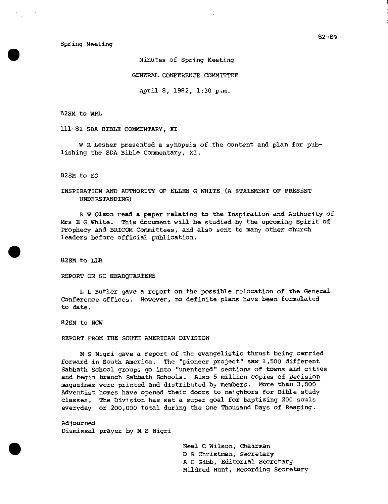Spring Meeting

Minutes of Spring Meeting

GENERAL CONFERENCE COMMITTEE

April 8, 1982, 1:30 p.m.

82SM to WRL

111-82 SDA BIBLE COMMENTARY, XI

W R Lesher presented a synopsis of the content and plan for publishing the SDA Bible Commentary, XI.

82SM to EO

INSPIRATION AND AUTHORITY OF ELLEN G WHITE (A STATEMENT OF PRESENT UNDERSTANDING)

R W Olson read a paper relating to the Inspiration and Authority of Mrs E G White. This document will be studied by the upcoming Spirit of Prophecy and BRICOM Committees, and also sent to many other church leaders before official publication.

82SM to LLB

REPORT ON GC HEADQUARTERS

L L Butler gave a report on the possible relocation of the General Conference offices. However, no definite plans have been formulated to date.

82SM to NCW

REPORT FROM THE SOUTH AMERICAN DIVISION

M S Nigri gave a report of the evangelistic thrust being carried forward in South America. The "pioneer project" saw 1,500 different Sabbath School groups go into "unentered" sections of towns and cities and begin branch Sabbath Schools. Also 5 million copies of Decision magazines were printed and distributed by members. More than 3,000 Adventist homes have opened their doors to neighbors for Bible study classes. The Division has set a super goal for baptizing 200 souls everyday or 200,000 total during the One Thousand Days of Reaping.

Adjourned Dismissal prayer by M S Nigri

> Neal C Wilson, Chairman D R Christman, Secretary A E Gibb, Editorial Secretary Mildred Hunt, Recording Secretary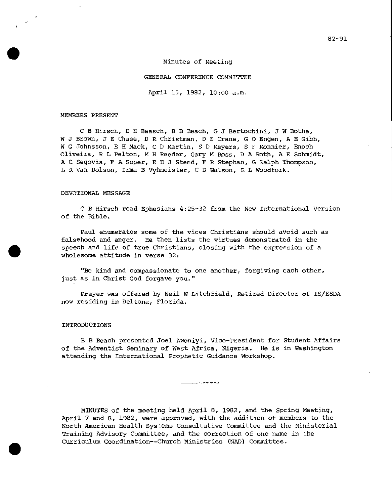Minutes of Meeting

#### GENERAL CONFERENCE COMMITTEE

April 15, 1982, 10:00 a.m.

#### MEMBERS PRESENT

C B Hirsch, D H Baasch, B B Beach, G J Bertochini, J W Bothe, W J Brown, J E Chase, D R Christman, D E Crane, G 0 Engen, A E Gibb, W G Johnsson, E H Mack, C D Martin, S D Meyers, S F Monnier, Enoch Oliveira, R L Pelton, M H Reeder, Gary M Ross, D A Roth, A E Schmidt, A C Segovia, F A Soper, E H 3 Steed, F R Stephan, G Ralph Thompson, L R Van Dolson, Irma B Vyhmeister, C D Watson, R L Woodfork.

#### DEVOTIONAL MESSAGE

C B Hirsch read Ephesians 4:25-32 from the New International Version of the Bible.

Paul enumerates some of the vices Christians should avoid such as falsehood and anger. He then lists the virtues demonstrated in the speech and life of true Christians, closing with the expression of a wholesome attitude in verse 32:

"Be kind and compassionate to one another, forgiving each other, just as in Christ God forgave you."

Prayer was offered by Neil W Litchfield, Retired Director of IS/ESDA now residing in Deltona, Florida.

# INTRODUCTIONS

•

B B Beach presented Joel Awoniyi, Vice-President for Student Affairs of the Adventist Seminary of West Africa, Nigeria. He is in Washington attending the International Prophetic Guidance Workshop.

MINUTES of the meeting held April 8, 1982, and the Spring Meeting, April 7 and 8, 1982, were approved, with the addition of members to the North American Health Systems Consultative Committee and the Ministerial Training Advisory Committee, and the correction of one name in the Curriculum Coordination -- Church Ministries (NAD) Committee.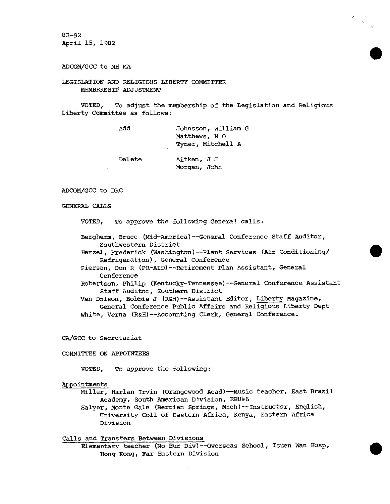82-92 April 15, 1982

ADCOM/GCC to MH MA

LEGISLATION AND RELIGIOUS LIBERTY COMMITTEE MEMBERSHIP ADJUSTMENT

VOTED, To adjust the membership of the Legislation and Religious Liberty Committee as follows:

•<br>●

•

•

Morgan, John

| Add    | Johnsson, William G |
|--------|---------------------|
|        | Matthews, N O       |
|        | Tyner, Mitchell A   |
| Delete | Aitken, J J         |

### ADCOM/GCC to DRC

### GENERAL CALTS

VOTED, To approve the following General calls:

Bergherm, Bruce (Mid-America) - -General Conference Staff Auditor, Southwestern District

Herzel, Frederick (Washington) - -Plant Services (Air Conditioning/ Refrigeration), General Conference

Pierson, Don R (PR-AID) -- Retirement Plan Assistant, General Conference

Robertson, Philip (Kentucky-Tennessee) - -General Conference Assistant Staff Auditor, Southern District

Van Dolson, Bobbie J (R&H) - -Assistant Editor, Liberty Magazine, General Conference Public Affairs and Religious Liberty Dept White, Verna (R&H)--Accounting Clerk, General Conference.

CA/GCC to Secretariat

#### COMMITTEE ON APPOINTEES

VOTED, To approve the following:

#### Appointments

Miller, Harlan Irvin (Orangewood Acad) - -Music teacher, East Brazil Academy, South American Division, EBU#6

Salyer, Monte Gale (Berrien Springs, Mich) -- Instructor, English, University Coll of Eastern Africa, Kenya, Eastern Africa Division

## Calls and Transfers Between Divisions

Elementary teacher (No Eur Div) -- Overseas School, Tsuen Wan Hosp, Hong Kong, Far Eastern Division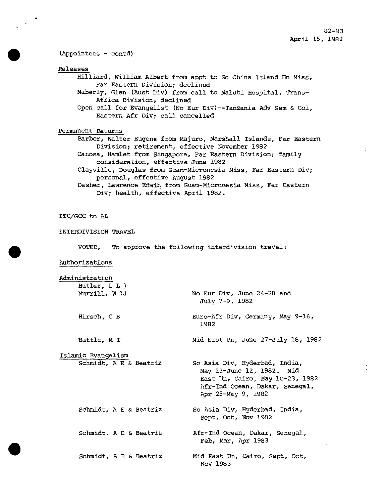# (Appointees - contd)

Releases

Hilliard, William Albert from appt to So China Island Un Miss, Far Eastern Division; declined

Maberly, Glen (Aust Div) from call to Maluti Hospital, Trans-Africa Division; declined

Open call for Evangelist (No Eur Div)--Tanzania Adv Sem & Col, Eastern Afr Div; call cancelled

Permanent Returns

Barber, Walter Eugene from Majuro, Marshall Islands, Far Eastern Division; retirement, effective November 1982

Canosa, Hamlet from Singapore, Far Eastern Division; family consideration, effective June 1982

Clayville, Douglas from Guam-Micronesia Miss, Far Eastern Div; personal, effective August 1982

Dasher, Lawrence Edwin from Guam-Micronesia Miss, Far Eastern Div; health, effective April 1982.

ITC/GCC to AL

INTERDIVISION TRAVEL

Hirsch, C B

Battle, M T

VOTED, To approve the following interdivision travel:

Authorizations

Administration

Butler, L L ) Murrill, W L) No Eur Div, June 24-28 and July 7-9, 1982

> Euro-Afr Div, Germany, May 9-16, 1982

Mid East Un, June 27-July 18, 1982

Islamic Evangelism Schmidt, A E & Beatriz

Schmidt, A E & Beatriz

Schmidt, A E & Beatriz

So Asia Div, Hyderbad, India, May 23-June 12, 1982. Mid East Un, Cairo, May 10-23, 1982 Afr-Ind Ocean, Dakar, Senegal, Apr 25-May 9, 1982

So Asia Div, Hyderbad, India, Sept, Oct, Nov 1982

Afr-Ind Ocean, Dakar, Senegal, Feb, Mar, Apr 1983

Schmidt, A E & Beatriz Mid East Un, Cairo, Sept, Oct, Nov 1983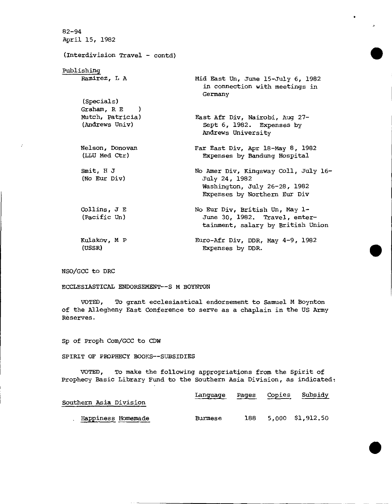82-94 April 15, 1982 (Interdivision Travel - contd) Publishing Ramirez, L A (Specials) Graham, R E ) Mutch, Patricia) (Andrews Univ) Nelson, Donovan (LLU Med Ctr) Emit, H J (No Eur Div) Collins, J E (Pacific Un) Kulakov, M P (USSR) Mid East Un, June 15-July 6, 1982 in connection with meetings in Germany East Afr Div, Nairobi, Aug 27-Sept 6, 1982. Expenses by Andrews University Far East Div, Apr 18-May 8, 1982 Expenses by Bandung Hospital No Amer Div, Kingsway Coll, July 16- July 24, 1982 Washington, July 26-28, 1982 Expenses by Northern Eur Div No Eur Div, British Un, May 1-June 30, 1982. Travel, entertainment, salary by British Union Euro -Afr Div, DDR, May 4-9, 1982 Expenses by DDR.

NSO/GCC to DRC

ECCLESIASTICAL ENDORSEMENT--S M BOYNTON

VOTED, To grant ecclesiastical endorsement to Samuel M Boynton of the Allegheny East Conference to serve as a chaplain in the US Army Reserves.

Sp of Proph Com/GCC to CDW

SPIRIT OF PROPHECY BOOKS--SUBSIDIES

VOTED, To make the following appropriations from the Spirit of Prophecy Basic Library Fund to the Southern Asia Division, as indicated:

| Southern Asia Division | Language Pages Copies Subsidy |  |                      |
|------------------------|-------------------------------|--|----------------------|
| Happiness Homemade     | Burmese                       |  | 188 5.000 \$1,912.50 |

•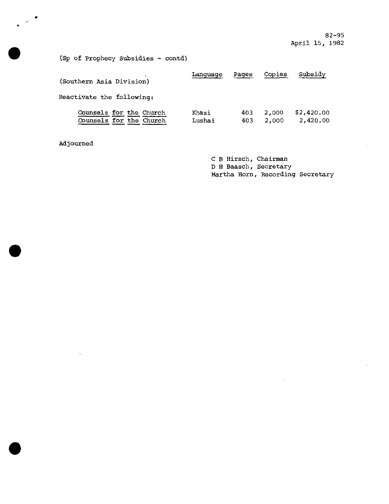82-95 April 15, 1982

(Sp of Prophecy Subsidies - contd)

| (Southern Asia Division)                           | Language        | Pages      | Copies         | Subsidy                |
|----------------------------------------------------|-----------------|------------|----------------|------------------------|
| Reactivate the following:                          |                 |            |                |                        |
| Counsels for the Church<br>Counsels for the Church | Khasi<br>Lushai | 403<br>403 | 2,000<br>2,000 | \$2.420.00<br>2.420.00 |

Adjourned

**s** 

**4** 

•

•

C B Hirsch, Chairman D H Baasch, Secretary Martha Horn, Recording Secretary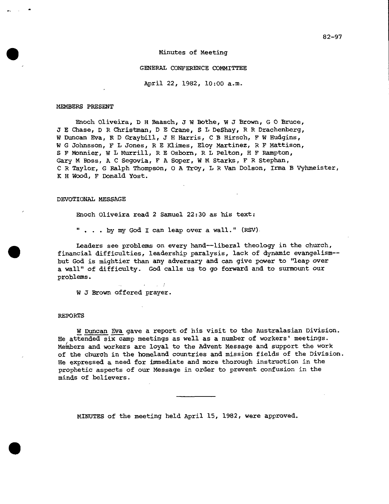# Minutes of Meeting

#### GENERAL CONFERENCE COMMITTEE

April 22, 1982, 10:00 a.m.

#### MEMBERS PRESENT

Enoch Oliveira, D H Baasch, 3 W Bothe, W J Brown, G 0 Bruce, J E Chase, D R Christman, D E Crane, S L DeShay, R R Drachenberg, W Duncan Eva, R D Graybill, J H Harris, C B Hirsch, F W Hudgins, W G Johnsson, F L Jones, R E Klimes, Eloy Martinez, R F Mattison, S F Monnier, W L Murrill, R E Osborn, R L Pelton, H F Rampton, Gary M Ross, A C Segovia, F A Soper, W M Starks, F R Stephan, C R Taylor, G Ralph Thompson, 0 A Troy, L R Van Dolson, Irma B Vyhmeister, K H Wood, F Donald Yost.

# DEVOTIONAL MESSAGE

Enoch Oliveira read 2 Samuel 22:30 as his text:

by my God I can leap over a wall." (RSV).

 $\label{eq:2} \mathcal{L} = \mathcal{L} \left( \mathcal{L} \right) \mathcal{L} = \mathcal{L} \left( \mathcal{L} \right)$ 

Leaders see problems on every hand--liberal theology in the church, financial difficulties, leadership paralysis, lack of dynamic evangelism- but God is mightier than any adversary and can give power to "leap over a wall" of difficulty. God calls us to go forward and to surmount our problems.

W J Brown offered prayer.

#### REPORTS

•

W Duncan Eva gave a report of his visit to the Australasian Division. He attended six camp meetings as well as a number of workers' meetings. Members and workers are loyal to the Advent Message and support the work of the church in the homeland countries and mission fields of the Division. He expressed a need for immediate and more thorough instruction in the prophetic aspects of our Message in order to prevent confusion in the minds of believers.

MINUTES of the meeting held April 15, 1982, were approved.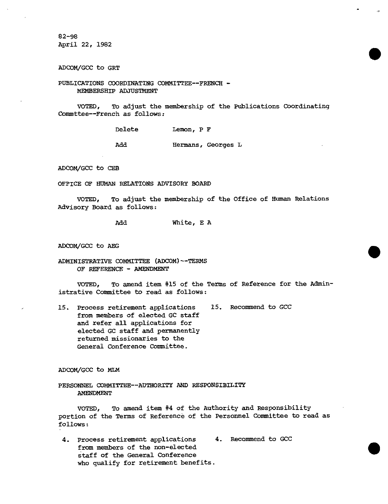82-98 April 22, 1982

ADCOM/GCC to GRT

PUBLICATIONS COORDINATING COMMITTEE--FRENCH -MEMBERSHIP ADJUSTMENT

VOTED, To adjust the membership of the Publications Coordinating Commttee--French as follows:

Delete Lemon, P F

Add Hermans, Georges L

ADCOM/GCC to CEB

OFFICE OF HUMAN RELATIONS ADVISORY BOARD

VOTED, To adjust the membership of the Office of Human Relations Advisory Board as follows:

Add White, E A

ADCOM/GCC to AEG

ADMINISTRATIVE COMMITTEE (ADCOM)- -TERMS OF REFERENCE - *AMENDMENT* 

VOTED, To amend item #15 of the Terms of Reference for the Administrative Committee to read as follows:

15. Process retirement applications 15. Recommend to GCC from members of elected GC staff and refer all applications for elected GC staff and permanently returned missionaries to the General Conference Committee.

ADCOM/GCC to MLM

PERSONNEL COMMITTEE--AUTHORITY AND RESPONSIBILITY AMENDMENT

VOTED, To amend item #4 of the Authority and Responsibility portion of the Terms of Reference of the Personnel Committee to read as follows:

4. Process retirement applications 4. Recommend to GCC from members of the non-elected staff of the General Conference who qualify for retirement benefits.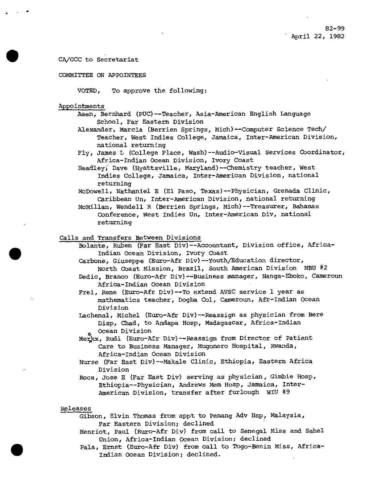# CA/GCC to Secretariat

# COMMITTEE ON APPOINTEES

VOTED, To approve the following:

#### Appointments

- Aaen, Bernhard (PUC) -Teacher, Asia-American English Language School, Far Eastern Division
	- Alexander, Marcia (Berrien Springs, Mich) -Computer Science Tech/ Teacher, West Indies College, Jamaica, Inter-American Division, national returning
	- Fly, James L (College Place, Wash) -- Audio-Visual Services Coordinator, Africa-Indian Ocean Division, Ivory Coast
	- Headley; Dave (Hyattsville, Maryland) -Chemistry teacher, West Indies College, Jamaica, Inter-American Division, national returning
	- McDowell, Nathaniel E (El Paso, Texas)--Physician, Grenada Clinic, Caribbean Un, Inter-American Division, national returning
	- McMillan, Wendell R (Berrien Springs, Mich) -Treasurer, Bahamas Conference, West Indies Un, Inter-American Div, national returning

# Calls and Transfers Between Divisions

- Bolante, Ruben (Far East Div) -Accountant, Division office, Africa-Indian Ocean Division, Ivory Coast
- Carbone, Giuseppe (Euro-Afr Div)--Youth/Education director, North Coast Mission, Brazil, South American Division NBU #2
- Dedic, Branco (Euro-Afr Div) --Business manager, Nanga-Eboko, Cameroun Africa-Indian Ocean Division
- Frei, Rene (Euro-Afr Div)--To extend AVSC service 1 year as mathematics teacher, Dogba Col, Cameroun, Afr -Indian Ocean Division
- Lachenal, Michel (Euro-Afr Div)--Reassign as physician from Bere Disp, Chad, to Andapa Hosp, Madagascar, Africa-Indian Ocean Division
- Merkx, Rudi (Euro-Afr Div) -- Reassign from Director of Patient Care to Business Manager, Mugonero Hospital, Rwanda, Africa-Indian Ocean Division
- Nurse (Far East Div) -- Makale Clinic, Ethiopia, Eastern Africa Division
- Roca, Jose E (Far East Div) serving as physician, Gimbie Hasp, Ethiopia - -Physician, Andrews Mem Hosp, Jamaica, Inter-American Division, transfer after furlough WIU #9

#### Releases

•

- Gibson, Elvin Thomas from appt to Penang Adv Hsp, Malaysia, Far Eastern Division; declined
- Henriot, Paul (Euro-Afr Div) from call to Senegal Miss and Sahel Union, Africa-Indian Ocean Division; declined
- Pala, Ernst (Euro-Afr Div) from call to Togo-Benin Miss, Africa-Indian Ocean Division; declined.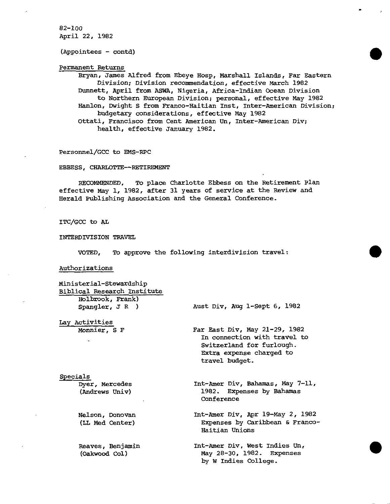82-100 April 22, 1982

(Appointees - contd)

Permanent Returns

Bryan, James Alfred from Ebeye Hosp, Marshall Islands, Far Eastern Division; Division recommendation, effective March 1982 Dunnett, April from ASWA, Nigeria, Africa-Indian Ocean Division to Northern European Division; personal, effective May 1982 Hanlon, Dwight S from Franco-Haitian Inst, Inter-American Division; budgetary considerations, effective May 1982 Ottati, Francisco from Cent American Un, Inter-American Div; health, effective January 1982.

Personnel/GCC to EMS-RPC

EBBESS, CHARLOTTE--RETIREMENT

RECOMMENDED, To place Charlotte Ebbess on the Retirement Plan effective May 1, 1982, after 31 years of service at the Review and Herald Publishing Association and the General Conference.

ITC/GCC to AL

INTERDIVISION TRAVEL

VOTED, To approve the following interdivision travel:

Authorizations

| Ministerial-Stewardship<br>Biblical Research Institute<br>Holbrook, Frank) |                                                                                                                                          |
|----------------------------------------------------------------------------|------------------------------------------------------------------------------------------------------------------------------------------|
| Spangler, $J R$ )                                                          | Aust Div, Aug 1-Sept 6, 1982                                                                                                             |
| Lay Activities                                                             |                                                                                                                                          |
| Monnier, S F                                                               | Far East Div, May 21-29, 1982<br>In connection with travel to<br>Switzerland for furlough.<br>Extra expense charged to<br>travel budget. |
| Specials                                                                   |                                                                                                                                          |
| Dyer, Mercedes<br>(Andrews Univ)                                           | Int-Amer Div, Bahamas, May 7-11,<br>1982. Expenses by Bahamas<br>Conference                                                              |
| Nelson, Donovan<br>(LL Med Center)                                         | Int-Amer Div, Apr 19-May 2, 1982<br>Expenses by Caribbean & Franco-<br>Haitian Unions                                                    |
| Reaves, Benjamin<br>(Oakwood Col)                                          | Int-Amer Div, West Indies Un,<br>May 28-30, 1982. Expenses<br>by W Indies College.                                                       |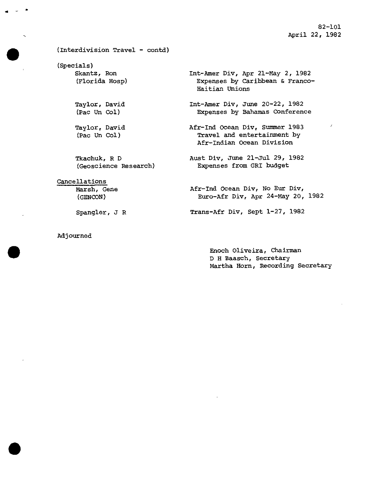82-101 April 22, 1982

# (Interdivision Travel - contd)

(Specials) Skantz, Ron (Florida Hosp)

•

•

Taylor, David (Pac Un Col)

Taylor, David (Pac Un Col)

Tkachuk, R D (Geoscience Research)

# Cancellations

Marsh, Gene (GENCON)

Spangler, J R

Adjourned

Int-Amer Div, Apr 21-May 2, 1982 Expenses by Caribbean & Franco-Haitian Unions

Int-Amer Div, June 20-22, 1982 Expenses by Bahamas Conference

- Afr-Ind Ocean Div, Summer 1983 Travel and entertainment by Afr-Indian Ocean Division
- Aust Div, June 21-Jul 29, 1982 Expenses from GRI budget
- Afr-Ind Ocean Div, No Eur Div, Euro -Afr Div, Apr 24-May 20, 1982

Trans-Afr Div, Sept 1-27, 1982

Enoch Oliveira, Chairman D H Baasch, Secretary Martha Horn, Recording Secretary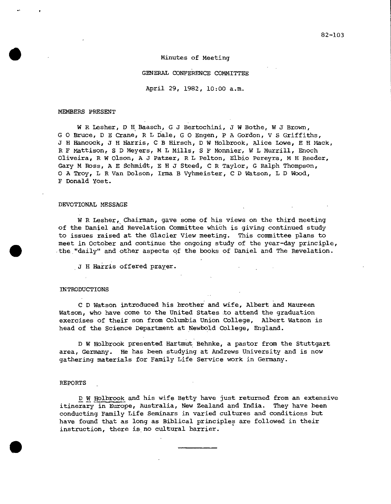#### Minutes of Meeting

#### GENERAL CONFERENCE COMMITTEE

April 29, 1982, 10:00 a.m.

#### MEMBERS PRESENT

W R Lesher, D H Baasch, G J Bertochini, J W Bothe, W J Brown, G 0 Bruce, D E Crane, R L Dale, G 0 Engen, P A Gordon, V S Griffiths, J H Hancock, J H Harris, C B Hirsch, D W Holbrook, Alice Lowe, E H Mack, R F Mattison, S D Meyers, M L Mills, S F Monnier, W L Murrill, Enoch Oliveira, R W Olson, A J Patzer, R L Pelton, Elbio Pereyra, M H Reeder, Gary M Ross, A E Schmidt, E H J Steed, C R Taylor, G Ralph Thompson, O A Troy, L R Van Dolson, Irma B Vyhmeister, C D Watson, L D Wood, F Donald Yost.

#### DEVOTIONAL MESSAGE

W R Lesher, Chairman, gave some of his views on the third meeting of the Daniel and Revelation Committee which is giving continued study to issues raised at the Glacier View meeting. This committee plans to meet in October and continue the ongoing study of the year-day principle, the,"daily" and other aspects of the books of Daniel and The Revelation.

J H Harris offered prayer.

#### INTRODUCTIONS

C D Watson introduced his brother and wife, Albert and Maureen Watson, who have come to the United States to attend the graduation exercises of their son from Columbia Union College, Albert Watson is head of the Science Department at Newbold College, England.

D W Holbrook presented Hartmut Behnke, a pastor from the Stuttgart area, Germany. He has been studying at Andrews University and is now gathering materials for Family Life Service work in Germany.

#### REPORTS \_

 $\bullet$ 

D W Holbrook and his wife Betty have just returned from an extensive itinerary in Europe, Australia, New Zealand and India. They have been conducting Family Life Seminars in varied cultures and conditions but have found that as long as Biblical principles are followed in their instruction, there is no cultural barrier.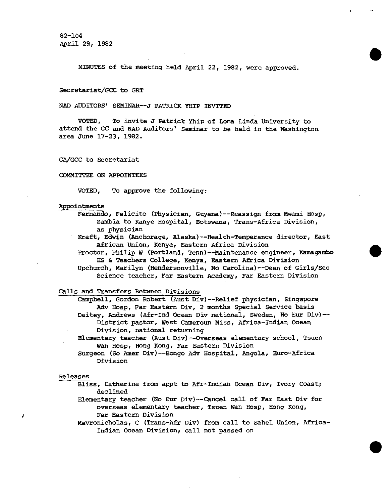82-104 April 29, 1982

MINUTES of the meeting held April 22, 1982, were approved.

•

•

#### Secretariat/GCC to GRT

NAD AUDITORS' SEMINAR--J PATRICK YHIP INVITED

VOTED, To invite J Patrick Yhip of Loma Linda University to attend the GC and NAD Auditors' Seminar to be held in the Washington area June 17-23, 1982.

CA/GCC to Secretariat

#### COMMITTEE ON APPOINTEES

VOTED, To approve the following:

#### Appointments

Fernando, Felicito (Physician, Guyana)--Reassign from Mwami Hosp, Zambia to Kanye Hospital, Botswana, Trans-Africa Division, as physician

Kraft, Edwin (Anchorage, Alaska)--Health-Temperance director, East African Union, Kenya, Eastern Africa Division

Proctor, Philip W (Portland, Tenn)--Maintenance engineer, Kamagambo HS & Teachers College, Kenya, Eastern Africa Division

Upchurch, Marilyn (Hendersonville, No Carolina)--Dean of Girls/Sec Science teacher, Far Eastern Academy, Far Eastern Division

Calls and Transfers Between Divisions

- Campbell, Gordon Robert (Aust Div)--Relief physician, Singapore Adv Hosp, Far Eastern Div, 2 months Special Service basis Daitey, Andrews (Afr-Ind Ocean Div national, Sweden, No Eur Div)-- District pastor, West Cameroun Miss, Africa-Indian Ocean
- Division, national returning Elementary teacher (Aust Div)--Overseas elementary school, Tsuen Wan Hosp, Hong Kong, Far Eastern Division
- Surgeon (So Amer Div)--Bongo Adv Hospital, Angola, Euro-Africa Division

#### Releases

- Bliss, Catherine from appt to Afr-Indian Ocean Div, Ivory Coast; declined
- Elementary teacher (No Eur Div)--Cancel call of Far East Div for overseas elementary teacher, Tsuen Wan Hosp, Hong Kong, Far Eastern Division

Mavronicholas, C (Trans-Afr Div) from call to Sahel Union, Africa-Indian Ocean Division; call not passed on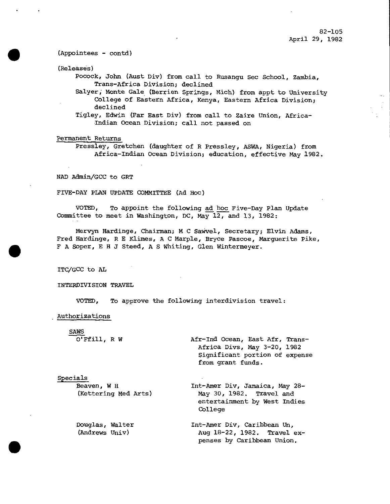• (Appointees - contd)

(Releases)

Pocock, John (Aust Div) from call to Rusangu Sec School, Zambia, Trans-Africa Division; declined

Salyer, Monte Gale (Berrien Springs, Mich) from appt to University College of Eastern Africa, Kenya, Eastern Africa Division; declined

Tigley, Edwin (Far East Div) from call to Zaire Union, Africa-Indian Ocean Division; call not passed on

# Permanent Returns

Pressley, Gretchen (daughter of R Pressley, ASWA, Nigeria) from Africa-Indian Ocean Division; education, effective May 1982.

NAD Admin/GCC to GRT

FIVE-DAY PLAN UPDATE COMMITTEE (Ad Hoc)

VOTED, To appoint the following ad hoc Five-Day Plan Update Committee to meet in Washington, DC, May 12, and 13, 1982:

Mervyn Hardinge, Chairman; M C Sawvel, Secretary; Elvin Adams, Fred Hardinge, R E Klimes, A C Marple, Bryce Pascoe, Marguerite Pike, • F A Soper, E H J Steed, A S Whiting, Glen Wintermeyer.

ITC/GCC to AL

INTERDIVISION TRAVEL

VOTED, To approve the following interdivision travel:

Authorizations

•

| <b>SAWS</b>          |                                                                                                                       |
|----------------------|-----------------------------------------------------------------------------------------------------------------------|
| O'Ffill, R W         | Afr-Ind Ocean, East Afr, Trans-<br>Africa Divs, May 3-20, 1982<br>Significant portion of expense<br>from grant funds. |
| Specials             |                                                                                                                       |
| Beaven, W H          | Int-Amer Div, Jamaica, May 28-                                                                                        |
| (Kettering Med Arts) | May 30, 1982. Travel and<br>entertainment by West Indies<br>College                                                   |
| Douglas, Walter      | Int-Amer Div, Caribbean Un,                                                                                           |
| (Andrews Univ)       | Aug 18-22, 1982. Travel ex-<br>penses by Caribbean Union.                                                             |